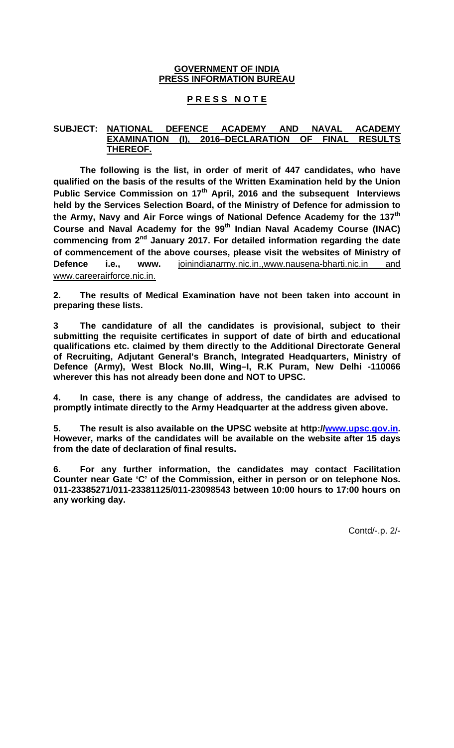## **GOVERNMENT OF INDIA PRESS INFORMATION BUREAU**

# **P R E S S N O T E**

## **SUBJECT: NATIONAL DEFENCE ACADEMY AND NAVAL ACADEMY EXAMINATION (I), 2016–DECLARATION OF FINAL RESULTS THEREOF.**

**The following is the list, in order of merit of 447 candidates, who have qualified on the basis of the results of the Written Examination held by the Union**  Public Service Commission on 17<sup>th</sup> April, 2016 and the subsequent Interviews **held by the Services Selection Board, of the Ministry of Defence for admission to the Army, Navy and Air Force wings of National Defence Academy for the 137th Course and Naval Academy for the 99th Indian Naval Academy Course (INAC) commencing from 2nd January 2017. For detailed information regarding the date of commencement of the above courses, please visit the websites of Ministry of Defence i.e., www.** joinindianarmy.nic.in.,www.nausena-bharti.nic.in and www.careerairforce.nic.in.

**2. The results of Medical Examination have not been taken into account in preparing these lists.**

**3 The candidature of all the candidates is provisional, subject to their submitting the requisite certificates in support of date of birth and educational qualifications etc. claimed by them directly to the Additional Directorate General of Recruiting, Adjutant General's Branch, Integrated Headquarters, Ministry of Defence (Army), West Block No.III, Wing–I, R.K Puram, New Delhi -110066 wherever this has not already been done and NOT to UPSC.** 

**4. In case, there is any change of address, the candidates are advised to promptly intimate directly to the Army Headquarter at the address given above.** 

**5. The result is also available on the UPSC website at http://www.upsc.gov.in. However, marks of the candidates will be available on the website after 15 days from the date of declaration of final results.** 

**6. For any further information, the candidates may contact Facilitation Counter near Gate 'C' of the Commission, either in person or on telephone Nos. 011-23385271/011-23381125/011-23098543 between 10:00 hours to 17:00 hours on any working day.** 

Contd/-.p. 2/-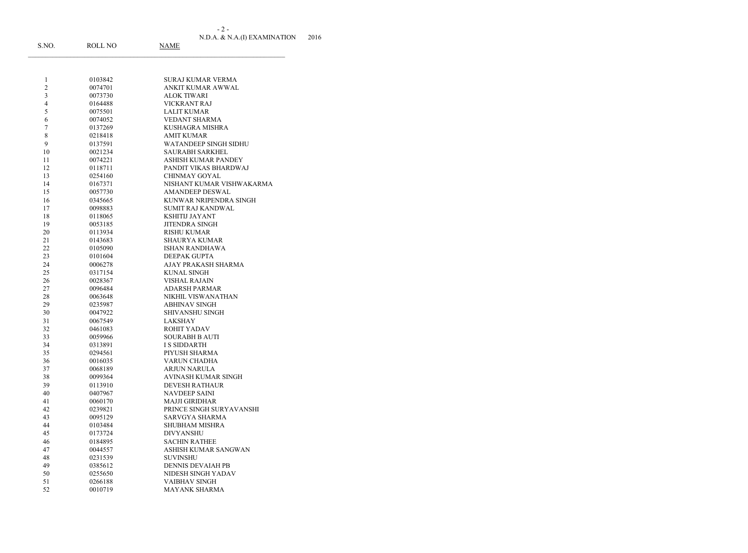N.D.A. & N.A.(I) EXAMINATION 2016 - 2 -

| S.NO.                   | <b>ROLL NO</b>     | <b>NAME</b>                               |
|-------------------------|--------------------|-------------------------------------------|
|                         |                    |                                           |
| $\mathbf{1}$            | 0103842            | SURAJ KUMAR VERMA                         |
| $\overline{c}$          | 0074701            | ANKIT KUMAR AWWAL                         |
| $\overline{\mathbf{3}}$ | 0073730            | ALOK TIWARI                               |
| $\overline{4}$          | 0164488            | VICKRANT RAJ                              |
| 5                       | 0075501            | <b>LALIT KUMAR</b>                        |
| 6                       | 0074052            | <b>VEDANT SHARMA</b>                      |
| $\overline{7}$          | 0137269            | KUSHAGRA MISHRA                           |
| 8                       | 0218418            | <b>AMIT KUMAR</b>                         |
| 9                       | 0137591            | WATANDEEP SINGH SIDHU                     |
| 10                      | 0021234            | <b>SAURABH SARKHEL</b>                    |
| 11                      | 0074221            | <b>ASHISH KUMAR PANDEY</b>                |
| 12                      | 0118711            | PANDIT VIKAS BHARDWAJ                     |
| 13                      | 0254160            | <b>CHINMAY GOYAL</b>                      |
| 14                      | 0167371            | NISHANT KUMAR VISHWAKARMA                 |
| 15                      | 0057730            | <b>AMANDEEP DESWAL</b>                    |
| 16                      | 0345665            | KUNWAR NRIPENDRA SINGH                    |
| 17                      | 0098883            | <b>SUMIT RAJ KANDWAL</b>                  |
| 18                      | 0118065            | <b>KSHITIJ JAYANT</b>                     |
| 19                      | 0053185            | <b>JITENDRA SINGH</b>                     |
| 20                      | 0113934            | <b>RISHU KUMAR</b>                        |
| 21                      | 0143683            | <b>SHAURYA KUMAR</b>                      |
| 22                      | 0105090            | <b>ISHAN RANDHAWA</b>                     |
| 23                      | 0101604            | <b>DEEPAK GUPTA</b>                       |
| 24                      | 0006278            | AJAY PRAKASH SHARMA                       |
| 25                      | 0317154            | <b>KUNAL SINGH</b>                        |
| 26                      | 0028367            | VISHAL RAJAIN                             |
| 27                      | 0096484            | ADARSH PARMAR                             |
| 28                      | 0063648            | NIKHIL VISWANATHAN                        |
| 29                      | 0235987            | <b>ABHINAV SINGH</b>                      |
| 30                      | 0047922            | <b>SHIVANSHU SINGH</b>                    |
| 31                      | 0067549            | <b>LAKSHAY</b>                            |
| 32                      | 0461083            | ROHIT YADAV                               |
| 33                      | 0059966            | <b>SOURABH B AUTI</b>                     |
| 34                      | 0313891            | <b>I S SIDDARTH</b>                       |
| 35                      | 0294561            | PIYUSH SHARMA                             |
| 36                      | 0016035            | VARUN CHADHA                              |
| 37                      | 0068189            | <b>ARJUN NARULA</b>                       |
| 38                      | 0099364            | <b>AVINASH KUMAR SINGH</b>                |
| 39                      | 0113910            | <b>DEVESH RATHAUR</b>                     |
| 40                      | 0407967            | <b>NAVDEEP SAINI</b>                      |
| 41                      | 0060170            | <b>MAJJI GIRIDHAR</b>                     |
| 42                      | 0239821            | PRINCE SINGH SURYAVANSHI                  |
| 43                      | 0095129            | SARVGYA SHARMA                            |
| 44<br>45                | 0103484            | <b>SHUBHAM MISHRA</b><br><b>DIVYANSHU</b> |
| 46                      | 0173724<br>0184895 | <b>SACHIN RATHEE</b>                      |
| 47                      | 0044557            | ASHISH KUMAR SANGWAN                      |
| 48                      | 0231539            | <b>SUVINSHU</b>                           |
| 49                      | 0385612            | <b>DENNIS DEVAIAH PB</b>                  |
| 50                      | 0255650            | NIDESH SINGH YADAV                        |
| 51                      | 0266188            | <b>VAIBHAV SINGH</b>                      |
| 52                      | 0010719            | <b>MAYANK SHARMA</b>                      |
|                         |                    |                                           |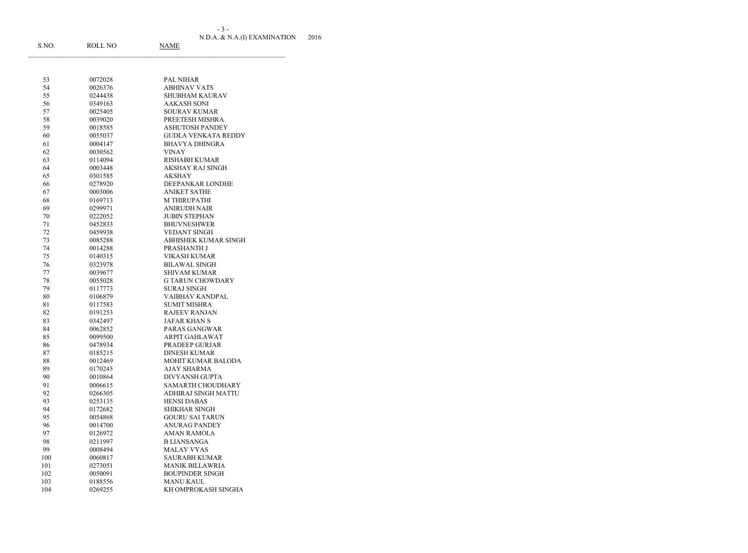N.D.A. & N.A.(I) EXAMINATION 2016 - 3 -

| 53       | 0072028            | <b>PAL NIHAR</b>                                  |
|----------|--------------------|---------------------------------------------------|
| 54       | 0026376            | <b>ABHINAV VATS</b>                               |
| 55       | 0244438            | <b>SHUBHAM KAURAV</b>                             |
| 56       | 0349163            | <b>AAKASH SONI</b>                                |
| 57       | 0025405            | <b>SOURAV KUMAR</b>                               |
| 58       | 0039020            | PREETESH MISHRA                                   |
| 59       | 0018585            | <b>ASHUTOSH PANDEY</b>                            |
| 60       | 0055037            | <b>GUDLA VENKATA REDDY</b>                        |
| 61       | 0004147            | <b>BHAVYA DHINGRA</b>                             |
| 62       | 0030562            | <b>VINAY</b>                                      |
| 63       | 0114094            | <b>RISHABH KUMAR</b>                              |
| 64       | 0003448            | AKSHAY RAJ SINGH                                  |
| 65       | 0301585            | <b>AKSHAY</b>                                     |
| 66       | 0278920            | DEEPANKAR LONDHE                                  |
| 67       | 0003006            | <b>ANIKET SATHE</b>                               |
| 68       | 0169713            | M THIRUPATHI                                      |
| 69       | 0299971            | <b>ANIRUDH NAIR</b>                               |
| 70       | 0222052            | <b>JUBIN STEPHAN</b>                              |
| 71       | 0452833            | <b>BHUVNESHWER</b>                                |
| 72       | 0459938            | <b>VEDANT SINGH</b>                               |
| 73       | 0085288            | <b>ABHISHEK KUMAR SINGH</b>                       |
| 74       | 0014288            | PRASHANTH J                                       |
| 75       | 0140315            | <b>VIKASH KUMAR</b>                               |
| 76       | 0323978            | <b>BILAWAL SINGH</b>                              |
| 77       | 0039677            | <b>SHIVAM KUMAR</b>                               |
| 78       | 0055028            | <b>G TARUN CHOWDARY</b>                           |
| 79       | 0117773            | <b>SURAJ SINGH</b>                                |
| 80       | 0106879            | <b>VAIBHAV KANDPAL</b>                            |
| 81       | 0117583            | <b>SUMIT MISHRA</b>                               |
| 82       | 0191253            | <b>RAJEEV RANJAN</b>                              |
| 83       | 0342497            | <b>JAFAR KHAN S</b>                               |
| 84       | 0062852            | PARAS GANGWAR                                     |
| 85       | 0099500            | <b>ARPIT GAHLAWAT</b>                             |
| 86       | 0478934            | PRADEEP GURJAR                                    |
| 87       | 0185215            | <b>DINESH KUMAR</b>                               |
| 88       | 0012469            | MOHIT KUMAR BALODA                                |
| 89       | 0170245            | AJAY SHARMA                                       |
| 90<br>91 | 0010864<br>0006615 | <b>DIVYANSH GUPTA</b><br><b>SAMARTH CHOUDHARY</b> |
| 92       | 0266305            | ADHIRAJ SINGH MATTU                               |
| 93       | 0253135            | <b>HENSI DABAS</b>                                |
| 94       | 0172682            | <b>SHIKHAR SINGH</b>                              |
| 95       | 0054868            | <b>GOURU SAI TARUN</b>                            |
| 96       | 0014700            | <b>ANURAG PANDEY</b>                              |
| 97       | 0126972            | <b>AMAN RAMOLA</b>                                |
| 98       | 0211997            | <b>B LIANSANGA</b>                                |
| 99       | 0008494            | <b>MALAY VYAS</b>                                 |
| 100      | 0060817            | <b>SAURABH KUMAR</b>                              |
| 101      | 0273051            | <b>MANIK BILLAWRIA</b>                            |
| 102      | 0050091            | <b>BOUPINDER SINGH</b>                            |
| 103      | 0188556            | <b>MANU KAUL</b>                                  |
| 104      | 0269255            | KH OMPROKASH SINGHA                               |
|          |                    |                                                   |

S.NO. ROLL NO NAME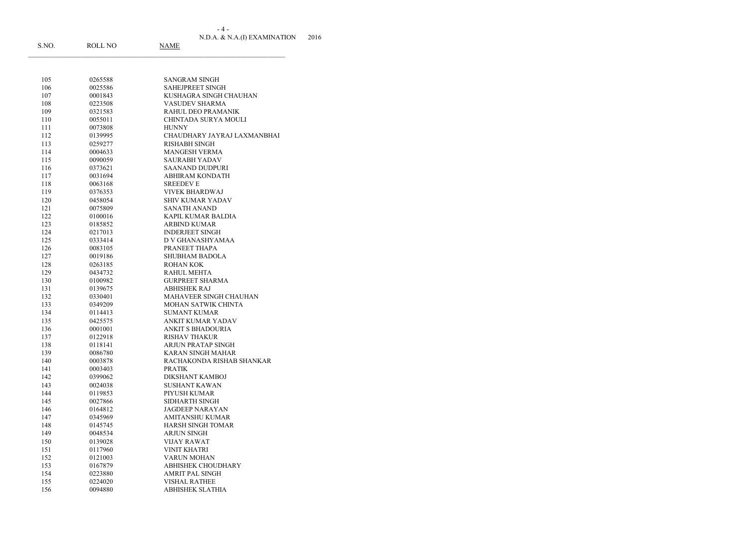N.D.A. & N.A.(I) EXAMINATION 2016 - 4 -

| 105 | 0265588 | SANGRAM SINGH               |
|-----|---------|-----------------------------|
| 106 | 0025586 | <b>SAHEJPREET SINGH</b>     |
| 107 | 0001843 | KUSHAGRA SINGH CHAUHAN      |
| 108 | 0223508 | <b>VASUDEV SHARMA</b>       |
| 109 | 0321583 | RAHUL DEO PRAMANIK          |
| 110 | 0055011 | CHINTADA SURYA MOULI        |
| 111 | 0073808 | <b>HUNNY</b>                |
| 112 | 0139995 | CHAUDHARY JAYRAJ LAXMANBHAI |
| 113 | 0259277 | <b>RISHABH SINGH</b>        |
| 114 | 0004633 | <b>MANGESH VERMA</b>        |
| 115 | 0090059 | <b>SAURABH YADAV</b>        |
| 116 | 0373621 | <b>SAANAND DUDPURI</b>      |
| 117 | 0031694 | <b>ABHIRAM KONDATH</b>      |
| 118 | 0063168 | <b>SREEDEVE</b>             |
| 119 | 0376353 | <b>VIVEK BHARDWAJ</b>       |
| 120 | 0458054 | <b>SHIV KUMAR YADAV</b>     |
| 121 | 0075809 | <b>SANATH ANAND</b>         |
| 122 | 0100016 | KAPIL KUMAR BALDIA          |
| 123 | 0185852 | <b>ARBIND KUMAR</b>         |
| 124 | 0217013 | <b>INDERJEET SINGH</b>      |
| 125 | 0333414 | D V GHANASHYAMAA            |
| 126 | 0083105 | PRANEET THAPA               |
| 127 | 0019186 | <b>SHUBHAM BADOLA</b>       |
|     |         | <b>ROHAN KOK</b>            |
| 128 | 0263185 |                             |
| 129 | 0434732 | <b>RAHUL MEHTA</b>          |
| 130 | 0100982 | <b>GURPREET SHARMA</b>      |
| 131 | 0139675 | <b>ABHISHEK RAJ</b>         |
| 132 | 0330401 | MAHAVEER SINGH CHAUHAN      |
| 133 | 0349209 | MOHAN SATWIK CHINTA         |
| 134 | 0114413 | <b>SUMANT KUMAR</b>         |
| 135 | 0425575 | ANKIT KUMAR YADAV           |
| 136 | 0001001 | ANKIT S BHADOURIA           |
| 137 | 0122918 | <b>RISHAV THAKUR</b>        |
| 138 | 0118141 | ARJUN PRATAP SINGH          |
| 139 | 0086780 | KARAN SINGH MAHAR           |
| 140 | 0003878 | RACHAKONDA RISHAB SHANKAR   |
| 141 | 0003403 | <b>PRATIK</b>               |
| 142 | 0399062 | DIKSHANT KAMBOJ             |
| 143 | 0024038 | <b>SUSHANT KAWAN</b>        |
| 144 | 0119853 | PIYUSH KUMAR                |
| 145 | 0027866 | SIDHARTH SINGH              |
| 146 | 0164812 | <b>JAGDEEP NARAYAN</b>      |
| 147 | 0345969 | <b>AMITANSHU KUMAR</b>      |
| 148 | 0145745 | <b>HARSH SINGH TOMAR</b>    |
| 149 | 0048534 | <b>ARJUN SINGH</b>          |
| 150 | 0139028 | <b>VIJAY RAWAT</b>          |
| 151 | 0117960 | <b>VINIT KHATRI</b>         |
| 152 | 0121003 | <b>VARUN MOHAN</b>          |
| 153 | 0167879 | <b>ABHISHEK CHOUDHARY</b>   |
| 154 | 0223880 | <b>AMRIT PAL SINGH</b>      |
| 155 | 0224020 | <b>VISHAL RATHEE</b>        |
|     |         |                             |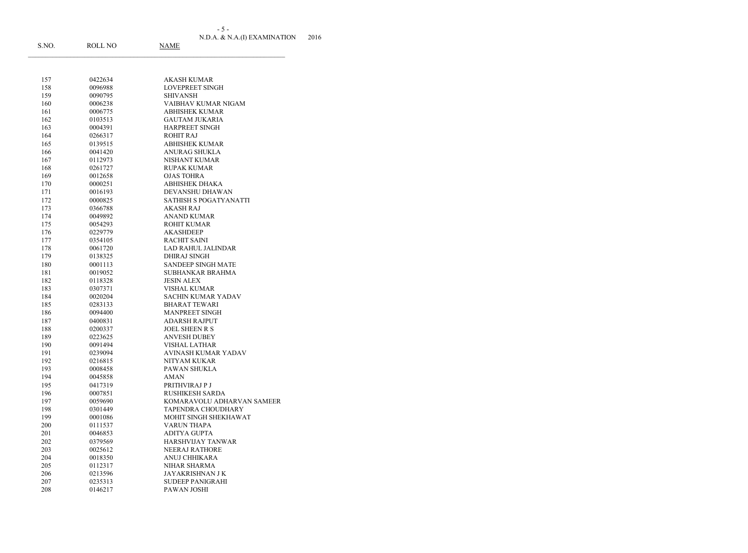N.D.A. & N.A.(I) EXAMINATION 2016 - 5 -

| S.NO.      | ROLL NO            | <b>NAME</b>                                  |
|------------|--------------------|----------------------------------------------|
|            |                    |                                              |
| 157        | 0422634            | <b>AKASH KUMAR</b>                           |
| 158        | 0096988            | <b>LOVEPREET SINGH</b>                       |
| 159        | 0090795            | <b>SHIVANSH</b>                              |
| 160        | 0006238            | VAIBHAV KUMAR NIGAM                          |
| 161        | 0006775            | <b>ABHISHEK KUMAR</b>                        |
| 162        | 0103513            | <b>GAUTAM JUKARIA</b>                        |
| 163        | 0004391            | HARPREET SINGH                               |
| 164        | 0266317            | <b>ROHIT RAJ</b>                             |
| 165        | 0139515            | <b>ABHISHEK KUMAR</b>                        |
| 166        | 0041420            | <b>ANURAG SHUKLA</b>                         |
| 167        | 0112973            | NISHANT KUMAR                                |
| 168        | 0261727            | <b>RUPAK KUMAR</b>                           |
| 169        | 0012658            | <b>OJAS TOHRA</b>                            |
| 170        | 0000251            | <b>ABHISHEK DHAKA</b>                        |
| 171        | 0016193            | DEVANSHU DHAWAN                              |
| 172        | 0000825            | SATHISH S POGATYANATTI                       |
| 173        | 0366788            | <b>AKASH RAJ</b>                             |
| 174        | 0049892            | <b>ANAND KUMAR</b>                           |
| 175        | 0054293            | <b>ROHIT KUMAR</b>                           |
| 176        | 0229779            | <b>AKASHDEEP</b>                             |
| 177        | 0354105            | <b>RACHIT SAINI</b>                          |
| 178        | 0061720            | LAD RAHUL JALINDAR                           |
| 179        | 0138325            | <b>DHIRAJ SINGH</b>                          |
| 180        | 0001113            | <b>SANDEEP SINGH MATE</b>                    |
| 181        | 0019052            | <b>SUBHANKAR BRAHMA</b>                      |
| 182        | 0118328            | <b>JESIN ALEX</b>                            |
| 183        | 0307371            | <b>VISHAL KUMAR</b>                          |
| 184        | 0020204            | SACHIN KUMAR YADAV                           |
| 185        | 0283133            | <b>BHARAT TEWARI</b>                         |
| 186        | 0094400            | <b>MANPREET SINGH</b>                        |
| 187        | 0400831            | <b>ADARSH RAJPUT</b>                         |
| 188        | 0200337            | <b>JOEL SHEEN R S</b><br><b>ANVESH DUBEY</b> |
| 189<br>190 | 0223625<br>0091494 | <b>VISHAL LATHAR</b>                         |
|            | 0239094            | AVINASH KUMAR YADAV                          |
| 191<br>192 | 0216815            | NITYAM KUKAR                                 |
| 193        | 0008458            | PAWAN SHUKLA                                 |
| 194        | 0045858            | <b>AMAN</b>                                  |
| 195        | 0417319            | PRITHVIRAJ P J                               |
| 196        | 0007851            | RUSHIKESH SARDA                              |
| 197        | 0059690            | KOMARAVOLU ADHARVAN SAMEER                   |
| 198        | 0301449            | TAPENDRA CHOUDHARY                           |
| 199        | 0001086            | MOHIT SINGH SHEKHAWAT                        |
| 200        | 0111537            | <b>VARUN THAPA</b>                           |
| 201        | 0046853            | <b>ADITYA GUPTA</b>                          |
| 202        | 0379569            | <b>HARSHVIJAY TANWAR</b>                     |
| 203        | 0025612            | NEERAJ RATHORE                               |
| 204        | 0018350            | ANUJ CHHIKARA                                |
| 205        | 0112317            | NIHAR SHARMA                                 |
| 206        | 0213596            | JAYAKRISHNAN J K                             |
| 207        | 0235313            | <b>SUDEEP PANIGRAHI</b>                      |
| 208        | 0146217            | PAWAN JOSHI                                  |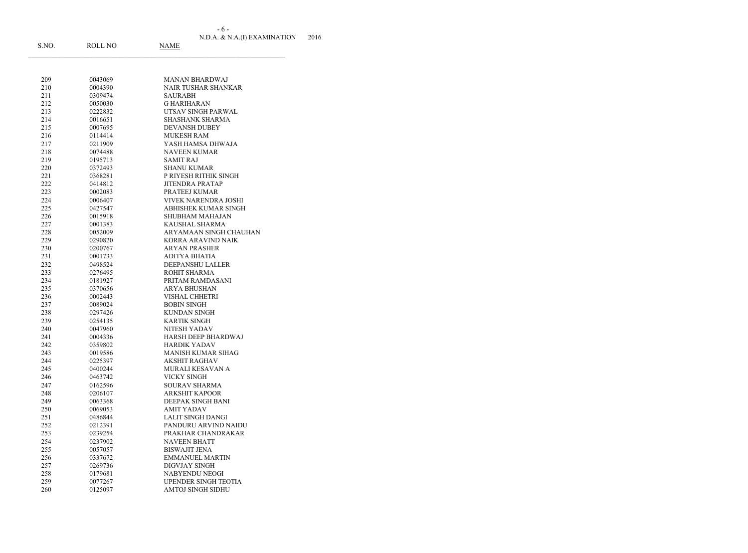N.D.A. & N.A.(I) EXAMINATION 2016 - 6 -

| S.NO.      | ROLL NO            | <b>NAME</b>                     |
|------------|--------------------|---------------------------------|
|            |                    |                                 |
| 209        | 0043069            | <b>MANAN BHARDWAJ</b>           |
| 210        | 0004390            | <b>NAIR TUSHAR SHANKAR</b>      |
| 211        | 0309474            | <b>SAURABH</b>                  |
| 212        | 0050030            | <b>GHARIHARAN</b>               |
| 213        | 0222832            | UTSAV SINGH PARWAL              |
| 214        | 0016651            | <b>SHASHANK SHARMA</b>          |
| 215        | 0007695            | <b>DEVANSH DUBEY</b>            |
| 216        | 0114414            | <b>MUKESH RAM</b>               |
| 217        | 0211909            | YASH HAMSA DHWAJA               |
| 218        | 0074488            | <b>NAVEEN KUMAR</b>             |
| 219        | 0195713            | <b>SAMIT RAJ</b>                |
| 220        | 0372493            | <b>SHANU KUMAR</b>              |
| 221        | 0368281            | P RIYESH RITHIK SINGH           |
| 222        | 0414812            | <b>JITENDRA PRATAP</b>          |
| 223        | 0002083            | PRATEEJ KUMAR                   |
| 224        | 0006407            | VIVEK NARENDRA JOSHI            |
| 225        | 0427547            | <b>ABHISHEK KUMAR SINGH</b>     |
| 226        | 0015918            | <b>SHUBHAM MAHAJAN</b>          |
| 227        | 0001383            | KAUSHAL SHARMA                  |
| 228        | 0052009            | ARYAMAAN SINGH CHAUHAN          |
| 229        | 0290820            | KORRA ARAVIND NAIK              |
| 230        | 0200767            | <b>ARYAN PRASHER</b>            |
| 231        | 0001733            | ADITYA BHATIA                   |
| 232        | 0498524            | DEEPANSHU LALLER                |
| 233        | 0276495            | ROHIT SHARMA                    |
| 234        | 0181927            | PRITAM RAMDASANI                |
| 235        | 0370656            | <b>ARYA BHUSHAN</b>             |
| 236        | 0002443            | <b>VISHAL CHHETRI</b>           |
| 237        | 0089024            | <b>BOBIN SINGH</b>              |
| 238        | 0297426            | <b>KUNDAN SINGH</b>             |
| 239        | 0254135            | <b>KARTIK SINGH</b>             |
| 240        | 0047960            | NITESH YADAV                    |
| 241        | 0004336            | <b>HARSH DEEP BHARDWAJ</b>      |
| 242        | 0359802            | <b>HARDIK YADAV</b>             |
| 243        | 0019586            | MANISH KUMAR SIHAG              |
| 244<br>245 | 0225397            | AKSHIT RAGHAV                   |
| 246        | 0400244<br>0463742 | MURALI KESAVAN A<br>VICKY SINGH |
| 247        | 0162596            | SOURAV SHARMA                   |
| 248        | 0206107            | <b>ARKSHIT KAPOOR</b>           |
| 249        | 0063368            | DEEPAK SINGH BANI               |
| 250        | 0069053            | <b>AMIT YADAV</b>               |
| 251        | 0486844            | LALIT SINGH DANGI               |
| 252        | 0212391            | PANDURU ARVIND NAIDU            |
| 253        | 0239254            | PRAKHAR CHANDRAKAR              |
| 254        | 0237902            | <b>NAVEEN BHATT</b>             |
| 255        | 0057057            | <b>BISWAJIT JENA</b>            |
| 256        | 0337672            | <b>EMMANUEL MARTIN</b>          |
| 257        | 0269736            | DIGVJAY SINGH                   |
| 258        | 0179681            | NABYENDU NEOGI                  |
| 259        | 0077267            | UPENDER SINGH TEOTIA            |
| 260        | 0125097            | <b>AMTOJ SINGH SIDHU</b>        |
|            |                    |                                 |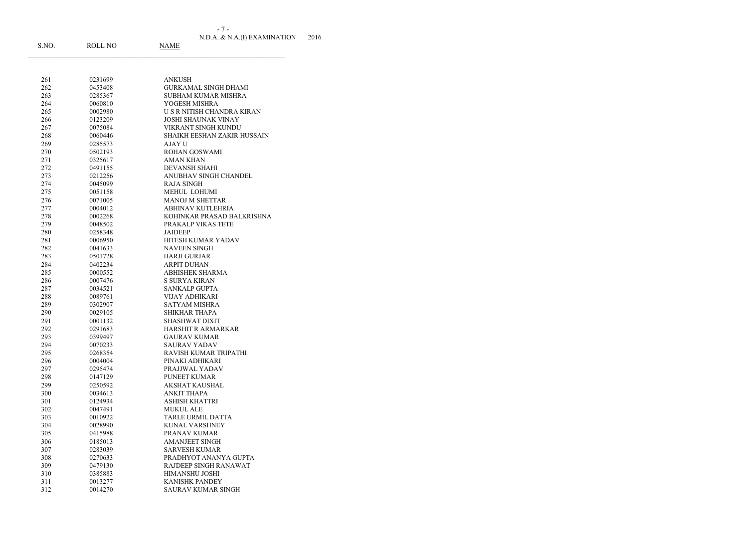N.D.A. & N.A.(I) EXAMINATION 2016 S.NO. ROLL NO NAME - 7 -

| 261 | 0231699 | ANKUSH                      |
|-----|---------|-----------------------------|
| 262 | 0453408 | <b>GURKAMAL SINGH DHAMI</b> |
| 263 | 0285367 | <b>SUBHAM KUMAR MISHRA</b>  |
| 264 | 0060810 | YOGESH MISHRA               |
| 265 | 0002980 | U S R NITISH CHANDRA KIRAN  |
| 266 | 0123209 | <b>JOSHI SHAUNAK VINAY</b>  |
| 267 | 0075084 | VIKRANT SINGH KUNDU         |
| 268 | 0060446 | SHAIKH EESHAN ZAKIR HUSSAIN |
| 269 | 0285573 | AJAY U                      |
| 270 | 0502193 | <b>ROHAN GOSWAMI</b>        |
| 271 | 0325617 | <b>AMAN KHAN</b>            |
| 272 | 0491155 | <b>DEVANSH SHAHI</b>        |
| 273 | 0212256 | ANUBHAV SINGH CHANDEL       |
| 274 | 0045099 | <b>RAJA SINGH</b>           |
| 275 | 0051158 | MEHUL LOHUMI                |
| 276 | 0071005 | <b>MANOJ M SHETTAR</b>      |
| 277 | 0004012 | ABHINAV KUTLEHRIA           |
| 278 | 0002268 | KOHINKAR PRASAD BALKRISHNA  |
| 279 | 0048502 | PRAKALP VIKAS TETE          |
| 280 | 0258348 | <b>JAIDEEP</b>              |
| 281 | 0006950 | HITESH KUMAR YADAV          |
| 282 | 0041633 | <b>NAVEEN SINGH</b>         |
| 283 | 0501728 | <b>HARJI GURJAR</b>         |
| 284 | 0402234 | <b>ARPIT DUHAN</b>          |
| 285 | 0000552 | <b>ABHISHEK SHARMA</b>      |
| 286 | 0007476 | <b>S SURYA KIRAN</b>        |
| 287 | 0034521 | <b>SANKALP GUPTA</b>        |
| 288 | 0089761 | VIJAY ADHIKARI              |
| 289 | 0302907 | <b>SATYAM MISHRA</b>        |
| 290 | 0029105 | <b>SHIKHAR THAPA</b>        |
| 291 | 0001132 | <b>SHASHWAT DIXIT</b>       |
| 292 | 0291683 | <b>HARSHIT R ARMARKAR</b>   |
| 293 | 0399497 | <b>GAURAV KUMAR</b>         |
| 294 | 0070233 | <b>SAURAV YADAV</b>         |
| 295 | 0268354 | RAVISH KUMAR TRIPATHI       |
| 296 | 0004004 | PINAKI ADHIKARI             |
| 297 | 0295474 | PRAJJWAL YADAV              |
| 298 | 0147129 | PUNEET KUMAR                |
| 299 | 0250592 | AKSHAT KAUSHAL              |
| 300 | 0034613 | <b>ANKIT THAPA</b>          |
| 301 | 0124934 | ASHISH KHATTRI              |
| 302 | 0047491 | <b>MUKUL ALE</b>            |
| 303 | 0010922 | <b>TARLE URMIL DATTA</b>    |
| 304 | 0028990 | KUNAL VARSHNEY              |
| 305 | 0415988 | PRANAV KUMAR                |
| 306 | 0185013 | <b>AMANJEET SINGH</b>       |
| 307 | 0283039 | <b>SARVESH KUMAR</b>        |
| 308 | 0270633 | PRADHYOT ANANYA GUPTA       |
| 309 | 0479130 | RAJDEEP SINGH RANAWAT       |
| 310 | 0385883 | HIMANSHU JOSHI              |
| 311 | 0013277 | <b>KANISHK PANDEY</b>       |
| 312 | 0014270 | <b>SAURAV KUMAR SINGH</b>   |
|     |         |                             |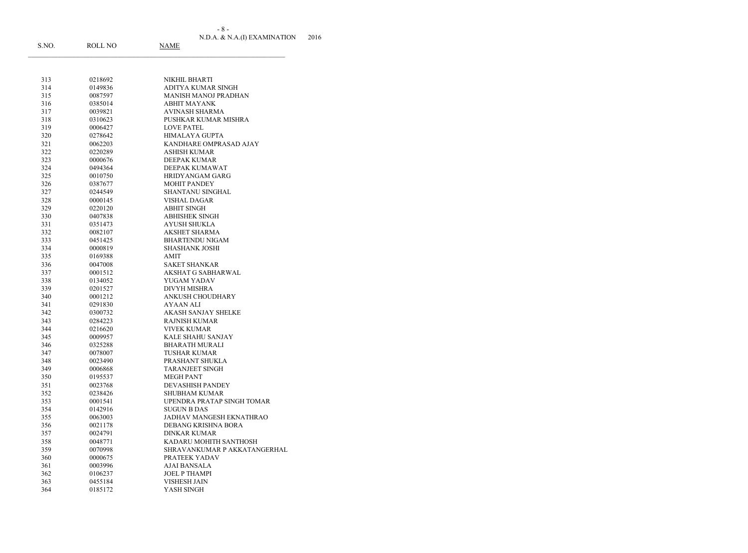- 8 -

| - 8 -                        |      |
|------------------------------|------|
| N.D.A. & N.A.(I) EXAMINATION | 2016 |

| S.NO. | <b>ROLL NO</b> | NAME                         |
|-------|----------------|------------------------------|
|       |                |                              |
| 313   | 0218692        | NIKHIL BHARTI                |
| 314   | 0149836        | ADITYA KUMAR SINGH           |
| 315   | 0087597        | <b>MANISH MANOJ PRADHAN</b>  |
| 316   | 0385014        | <b>ABHIT MAYANK</b>          |
| 317   | 0039821        | <b>AVINASH SHARMA</b>        |
| 318   | 0310623        | PUSHKAR KUMAR MISHRA         |
| 319   | 0006427        | <b>LOVE PATEL</b>            |
| 320   | 0278642        | <b>HIMALAYA GUPTA</b>        |
| 321   | 0062203        | KANDHARE OMPRASAD AJAY       |
| 322   | 0220289        | <b>ASHISH KUMAR</b>          |
| 323   | 0000676        | <b>DEEPAK KUMAR</b>          |
| 324   | 0494364        | DEEPAK KUMAWAT               |
| 325   | 0010750        | HRIDYANGAM GARG              |
| 326   | 0387677        | <b>MOHIT PANDEY</b>          |
| 327   | 0244549        | SHANTANU SINGHAL             |
| 328   | 0000145        | <b>VISHAL DAGAR</b>          |
| 329   | 0220120        | <b>ABHIT SINGH</b>           |
| 330   | 0407838        | <b>ABHISHEK SINGH</b>        |
| 331   | 0351473        | <b>AYUSH SHUKLA</b>          |
| 332   | 0082107        | <b>AKSHET SHARMA</b>         |
| 333   | 0451425        | <b>BHARTENDU NIGAM</b>       |
| 334   | 0000819        | <b>SHASHANK JOSHI</b>        |
| 335   | 0169388        | <b>AMIT</b>                  |
| 336   | 0047008        | <b>SAKET SHANKAR</b>         |
| 337   | 0001512        | AKSHAT G SABHARWAL           |
| 338   | 0134052        | YUGAM YADAV                  |
| 339   | 0201527        | <b>DIVYH MISHRA</b>          |
| 340   | 0001212        | ANKUSH CHOUDHARY             |
| 341   | 0291830        | AYAAN ALI                    |
| 342   | 0300732        | <b>AKASH SANJAY SHELKE</b>   |
| 343   | 0284223        | <b>RAJNISH KUMAR</b>         |
| 344   | 0216620        | <b>VIVEK KUMAR</b>           |
| 345   | 0009957        | KALE SHAHU SANJAY            |
| 346   | 0325288        | <b>BHARATH MURALI</b>        |
| 347   | 0078007        | TUSHAR KUMAR                 |
| 348   | 0023490        | PRASHANT SHUKLA              |
| 349   | 0006868        | <b>TARANJEET SINGH</b>       |
| 350   | 0195537        | <b>MEGH PANT</b>             |
| 351   | 0023768        | DEVASHISH PANDEY             |
| 352   | 0238426        | <b>SHUBHAM KUMAR</b>         |
| 353   | 0001541        | UPENDRA PRATAP SINGH TOMAR   |
| 354   | 0142916        | <b>SUGUN B DAS</b>           |
| 355   | 0063003        | JADHAV MANGESH EKNATHRAO     |
| 356   | 0021178        | DEBANG KRISHNA BORA          |
| 357   | 0024791        | <b>DINKAR KUMAR</b>          |
| 358   | 0048771        | KADARU MOHITH SANTHOSH       |
| 359   | 0070998        | SHRAVANKUMAR P AKKATANGERHAL |
| 360   | 0000675        | PRATEEK YADAV                |
| 361   | 0003996        | AJAI BANSALA                 |
| 362   | 0106237        | <b>JOEL P THAMPI</b>         |
| 363   | 0455184        | <b>VISHESH JAIN</b>          |
| 364   | 0185172        | YASH SINGH                   |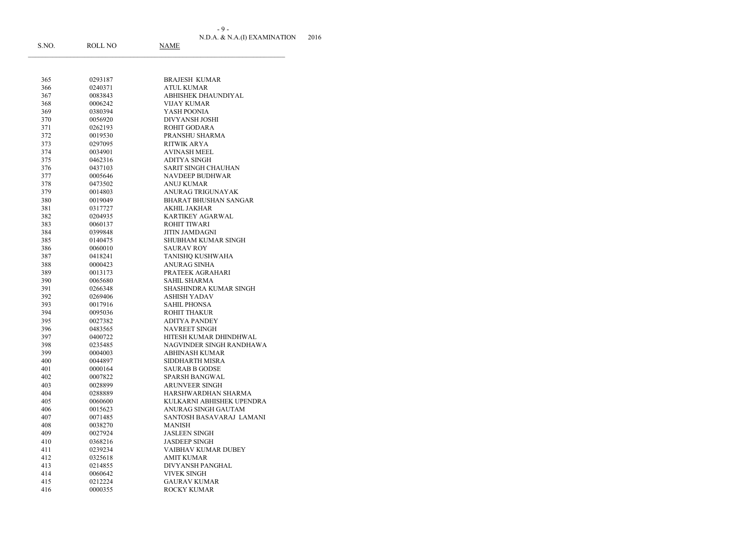N.D.A. & N.A.(I) EXAMINATION 2016 - 9 -

| S.NO.      | <b>ROLL NO</b>     | <u>NAME</u>                                |
|------------|--------------------|--------------------------------------------|
|            |                    |                                            |
|            |                    |                                            |
| 365        | 0293187            | <b>BRAJESH KUMAR</b>                       |
| 366        | 0240371            | <b>ATUL KUMAR</b>                          |
| 367        | 0083843            | ABHISHEK DHAUNDIYAL                        |
| 368        | 0006242            | <b>VIJAY KUMAR</b>                         |
| 369        | 0380394            | YASH POONIA                                |
| 370        | 0056920            | <b>DIVYANSH JOSHI</b>                      |
| 371        | 0262193            | ROHIT GODARA                               |
| 372        | 0019530            | PRANSHU SHARMA<br><b>RITWIK ARYA</b>       |
| 373        | 0297095            |                                            |
| 374        | 0034901            | <b>AVINASH MEEL</b><br><b>ADITYA SINGH</b> |
| 375<br>376 | 0462316<br>0437103 | <b>SARIT SINGH CHAUHAN</b>                 |
| 377        | 0005646            | <b>NAVDEEP BUDHWAR</b>                     |
| 378        | 0473502            | <b>ANUJ KUMAR</b>                          |
| 379        | 0014803            | ANURAG TRIGUNAYAK                          |
| 380        | 0019049            | <b>BHARAT BHUSHAN SANGAR</b>               |
| 381        | 0317727            | <b>AKHIL JAKHAR</b>                        |
| 382        | 0204935            | <b>KARTIKEY AGARWAL</b>                    |
| 383        | 0060137            | <b>ROHIT TIWARI</b>                        |
| 384        | 0399848            | <b>JITIN JAMDAGNI</b>                      |
| 385        | 0140475            | <b>SHUBHAM KUMAR SINGH</b>                 |
| 386        | 0060010            | <b>SAURAV ROY</b>                          |
| 387        | 0418241            | TANISHQ KUSHWAHA                           |
| 388        | 0000423            | <b>ANURAG SINHA</b>                        |
| 389        | 0013173            | PRATEEK AGRAHARI                           |
| 390        | 0065680            | <b>SAHIL SHARMA</b>                        |
| 391        | 0266348            | SHASHINDRA KUMAR SINGH                     |
| 392        | 0269406            | <b>ASHISH YADAV</b>                        |
| 393        | 0017916            | <b>SAHIL PHONSA</b>                        |
| 394        | 0095036            | <b>ROHIT THAKUR</b>                        |
| 395        | 0027382            | <b>ADITYA PANDEY</b>                       |
| 396        | 0483565            | <b>NAVREET SINGH</b>                       |
| 397        | 0400722            | HITESH KUMAR DHINDHWAL                     |
| 398        | 0235485            | NAGVINDER SINGH RANDHAWA                   |
| 399        | 0004003            | ABHINASH KUMAR                             |
| 400        | 0044897            | SIDDHARTH MISRA                            |
| 401        | 0000164            | <b>SAURAB B GODSE</b>                      |
| 402        | 0007822            | <b>SPARSH BANGWAL</b>                      |
| 403        | 0028899            | <b>ARUNVEER SINGH</b>                      |
| 404        | 0288889            | HARSHWARDHAN SHARMA                        |
| 405        | 0060600            | KULKARNI ABHISHEK UPENDRA                  |
| 406        | 0015623            | ANURAG SINGH GAUTAM                        |
| 407        | 0071485            | SANTOSH BASAVARAJ LAMANI                   |
| 408        | 0038270            | <b>MANISH</b>                              |
| 409        | 0027924            | <b>JASLEEN SINGH</b>                       |
| 410        | 0368216            | <b>JASDEEP SINGH</b>                       |
| 411        | 0239234            | VAIBHAV KUMAR DUBEY                        |
| 412        | 0325618            | <b>AMIT KUMAR</b>                          |
| 413        | 0214855            | DIVYANSH PANGHAL                           |
| 414        | 0060642            | <b>VIVEK SINGH</b>                         |
| 415        | 0212224            | <b>GAURAV KUMAR</b>                        |
| 416        | 0000355            | ROCKY KUMAR                                |